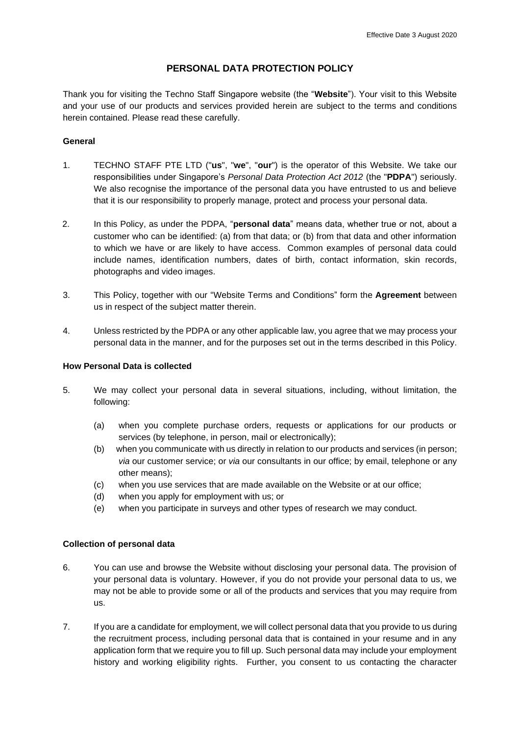# **PERSONAL DATA PROTECTION POLICY**

Thank you for visiting the Techno Staff Singapore website (the "**Website**"). Your visit to this Website and your use of our products and services provided herein are subject to the terms and conditions herein contained. Please read these carefully.

### **General**

- 1. TECHNO STAFF PTE LTD ("**us**", "**we**", "**our**") is the operator of this Website. We take our responsibilities under Singapore's *Personal Data Protection Act 2012* (the "**PDPA**") seriously. We also recognise the importance of the personal data you have entrusted to us and believe that it is our responsibility to properly manage, protect and process your personal data.
- 2. In this Policy, as under the PDPA, "**personal data**" means data, whether true or not, about a customer who can be identified: (a) from that data; or (b) from that data and other information to which we have or are likely to have access. Common examples of personal data could include names, identification numbers, dates of birth, contact information, skin records, photographs and video images.
- 3. This Policy, together with our "Website Terms and Conditions" form the **Agreement** between us in respect of the subject matter therein.
- 4. Unless restricted by the PDPA or any other applicable law, you agree that we may process your personal data in the manner, and for the purposes set out in the terms described in this Policy.

### **How Personal Data is collected**

- 5. We may collect your personal data in several situations, including, without limitation, the following:
	- (a) when you complete purchase orders, requests or applications for our products or services (by telephone, in person, mail or electronically);
	- (b) when you communicate with us directly in relation to our products and services (in person; *via* our customer service; or *via* our consultants in our office; by email, telephone or any other means);
	- (c) when you use services that are made available on the Website or at our office;
	- (d) when you apply for employment with us; or
	- (e) when you participate in surveys and other types of research we may conduct.

## **Collection of personal data**

- 6. You can use and browse the Website without disclosing your personal data. The provision of your personal data is voluntary. However, if you do not provide your personal data to us, we may not be able to provide some or all of the products and services that you may require from us.
- 7. If you are a candidate for employment, we will collect personal data that you provide to us during the recruitment process, including personal data that is contained in your resume and in any application form that we require you to fill up. Such personal data may include your employment history and working eligibility rights. Further, you consent to us contacting the character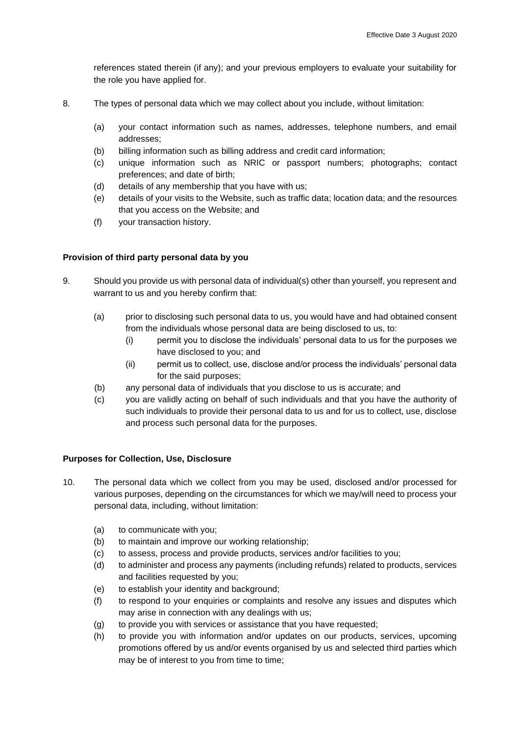references stated therein (if any); and your previous employers to evaluate your suitability for the role you have applied for.

- 8. The types of personal data which we may collect about you include, without limitation:
	- (a) your contact information such as names, addresses, telephone numbers, and email addresses;
	- (b) billing information such as billing address and credit card information;
	- (c) unique information such as NRIC or passport numbers; photographs; contact preferences; and date of birth;
	- (d) details of any membership that you have with us;
	- (e) details of your visits to the Website, such as traffic data; location data; and the resources that you access on the Website; and
	- (f) your transaction history.

#### **Provision of third party personal data by you**

- 9. Should you provide us with personal data of individual(s) other than yourself, you represent and warrant to us and you hereby confirm that:
	- (a) prior to disclosing such personal data to us, you would have and had obtained consent from the individuals whose personal data are being disclosed to us, to:
		- (i) permit you to disclose the individuals' personal data to us for the purposes we have disclosed to you; and
		- (ii) permit us to collect, use, disclose and/or process the individuals' personal data for the said purposes;
	- (b) any personal data of individuals that you disclose to us is accurate; and
	- (c) you are validly acting on behalf of such individuals and that you have the authority of such individuals to provide their personal data to us and for us to collect, use, disclose and process such personal data for the purposes.

#### **Purposes for Collection, Use, Disclosure**

- 10. The personal data which we collect from you may be used, disclosed and/or processed for various purposes, depending on the circumstances for which we may/will need to process your personal data, including, without limitation:
	- (a) to communicate with you;
	- (b) to maintain and improve our working relationship;
	- (c) to assess, process and provide products, services and/or facilities to you;
	- (d) to administer and process any payments (including refunds) related to products, services and facilities requested by you;
	- (e) to establish your identity and background;
	- (f) to respond to your enquiries or complaints and resolve any issues and disputes which may arise in connection with any dealings with us;
	- (g) to provide you with services or assistance that you have requested;
	- (h) to provide you with information and/or updates on our products, services, upcoming promotions offered by us and/or events organised by us and selected third parties which may be of interest to you from time to time;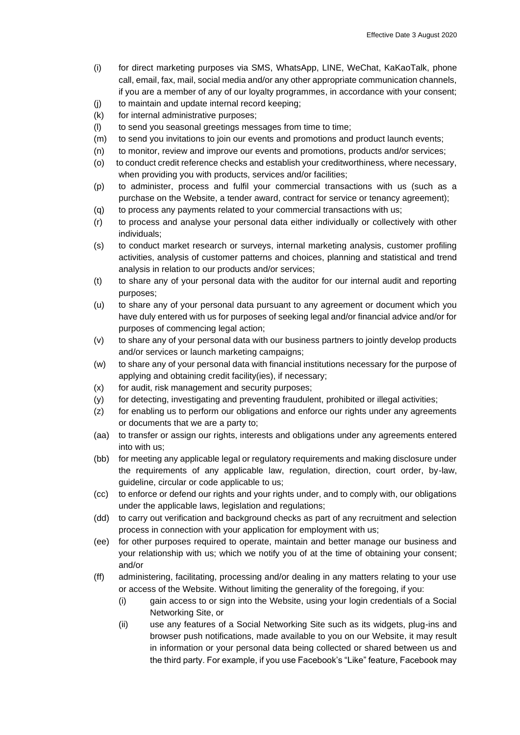- (i) for direct marketing purposes via SMS, WhatsApp, LINE, WeChat, KaKaoTalk, phone call, email, fax, mail, social media and/or any other appropriate communication channels, if you are a member of any of our loyalty programmes, in accordance with your consent;
- (j) to maintain and update internal record keeping;
- (k) for internal administrative purposes;
- (l) to send you seasonal greetings messages from time to time;
- (m) to send you invitations to join our events and promotions and product launch events;
- (n) to monitor, review and improve our events and promotions, products and/or services;
- (o) to conduct credit reference checks and establish your creditworthiness, where necessary, when providing you with products, services and/or facilities;
- (p) to administer, process and fulfil your commercial transactions with us (such as a purchase on the Website, a tender award, contract for service or tenancy agreement);
- (q) to process any payments related to your commercial transactions with us;
- (r) to process and analyse your personal data either individually or collectively with other individuals;
- (s) to conduct market research or surveys, internal marketing analysis, customer profiling activities, analysis of customer patterns and choices, planning and statistical and trend analysis in relation to our products and/or services;
- (t) to share any of your personal data with the auditor for our internal audit and reporting purposes;
- (u) to share any of your personal data pursuant to any agreement or document which you have duly entered with us for purposes of seeking legal and/or financial advice and/or for purposes of commencing legal action;
- (v) to share any of your personal data with our business partners to jointly develop products and/or services or launch marketing campaigns;
- (w) to share any of your personal data with financial institutions necessary for the purpose of applying and obtaining credit facility(ies), if necessary;
- (x) for audit, risk management and security purposes;
- (y) for detecting, investigating and preventing fraudulent, prohibited or illegal activities;
- (z) for enabling us to perform our obligations and enforce our rights under any agreements or documents that we are a party to;
- (aa) to transfer or assign our rights, interests and obligations under any agreements entered into with us;
- (bb) for meeting any applicable legal or regulatory requirements and making disclosure under the requirements of any applicable law, regulation, direction, court order, by-law, guideline, circular or code applicable to us;
- (cc) to enforce or defend our rights and your rights under, and to comply with, our obligations under the applicable laws, legislation and regulations;
- (dd) to carry out verification and background checks as part of any recruitment and selection process in connection with your application for employment with us;
- (ee) for other purposes required to operate, maintain and better manage our business and your relationship with us; which we notify you of at the time of obtaining your consent; and/or
- (ff) administering, facilitating, processing and/or dealing in any matters relating to your use or access of the Website. Without limiting the generality of the foregoing, if you:
	- (i) gain access to or sign into the Website, using your login credentials of a Social Networking Site, or
	- (ii) use any features of a Social Networking Site such as its widgets, plug-ins and browser push notifications, made available to you on our Website, it may result in information or your personal data being collected or shared between us and the third party. For example, if you use Facebook's "Like" feature, Facebook may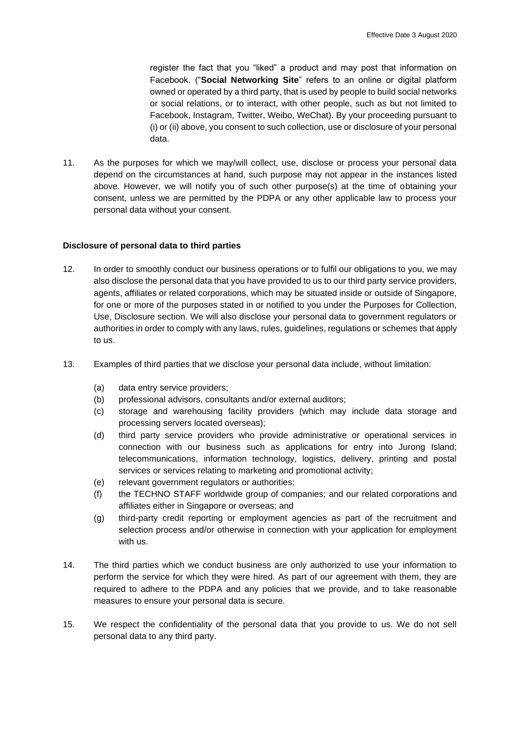register the fact that you "liked" a product and may post that information on Facebook. ("**Social Networking Site**" refers to an online or digital platform owned or operated by a third party, that is used by people to build social networks or social relations, or to interact, with other people, such as but not limited to Facebook, Instagram, Twitter, Weibo, WeChat). By your proceeding pursuant to (i) or (ii) above, you consent to such collection, use or disclosure of your personal data.

11. As the purposes for which we may/will collect, use, disclose or process your personal data depend on the circumstances at hand, such purpose may not appear in the instances listed above. However, we will notify you of such other purpose(s) at the time of obtaining your consent, unless we are permitted by the PDPA or any other applicable law to process your personal data without your consent.

#### **Disclosure of personal data to third parties**

- 12. In order to smoothly conduct our business operations or to fulfil our obligations to you, we may also disclose the personal data that you have provided to us to our third party service providers, agents, affiliates or related corporations, which may be situated inside or outside of Singapore, for one or more of the purposes stated in or notified to you under the Purposes for Collection, Use, Disclosure section. We will also disclose your personal data to government regulators or authorities in order to comply with any laws, rules, guidelines, regulations or schemes that apply to us.
- 13. Examples of third parties that we disclose your personal data include, without limitation:
	- (a) data entry service providers;
	- (b) professional advisors, consultants and/or external auditors;
	- (c) storage and warehousing facility providers (which may include data storage and processing servers located overseas);
	- (d) third party service providers who provide administrative or operational services in connection with our business such as applications for entry into Jurong Island; telecommunications, information technology, logistics, delivery, printing and postal services or services relating to marketing and promotional activity;
	- (e) relevant government regulators or authorities;
	- (f) the TECHNO STAFF worldwide group of companies; and our related corporations and affiliates either in Singapore or overseas; and
	- (g) third-party credit reporting or employment agencies as part of the recruitment and selection process and/or otherwise in connection with your application for employment with us.
- 14. The third parties which we conduct business are only authorized to use your information to perform the service for which they were hired. As part of our agreement with them, they are required to adhere to the PDPA and any policies that we provide, and to take reasonable measures to ensure your personal data is secure.
- 15. We respect the confidentiality of the personal data that you provide to us. We do not sell personal data to any third party.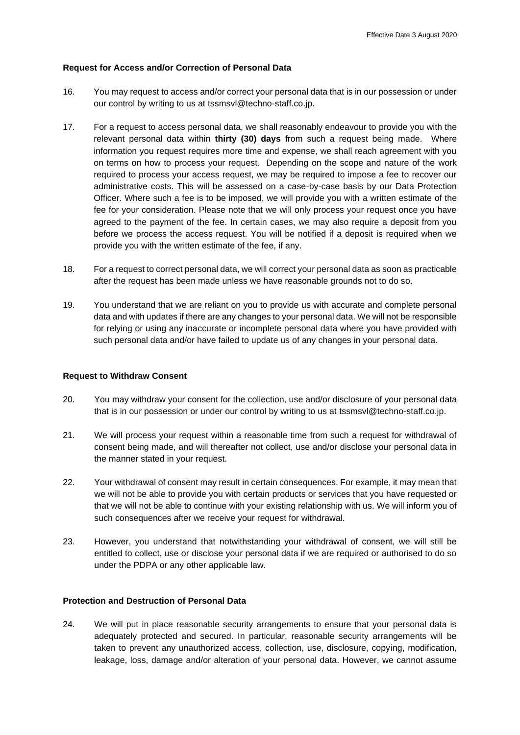### **Request for Access and/or Correction of Personal Data**

- 16. You may request to access and/or correct your personal data that is in our possession or under our control by writing to us at tssmsvl@techno-staff.co.jp.
- 17. For a request to access personal data, we shall reasonably endeavour to provide you with the relevant personal data within **thirty (30) days** from such a request being made. Where information you request requires more time and expense, we shall reach agreement with you on terms on how to process your request. Depending on the scope and nature of the work required to process your access request, we may be required to impose a fee to recover our administrative costs. This will be assessed on a case-by-case basis by our Data Protection Officer. Where such a fee is to be imposed, we will provide you with a written estimate of the fee for your consideration. Please note that we will only process your request once you have agreed to the payment of the fee. In certain cases, we may also require a deposit from you before we process the access request. You will be notified if a deposit is required when we provide you with the written estimate of the fee, if any.
- 18. For a request to correct personal data, we will correct your personal data as soon as practicable after the request has been made unless we have reasonable grounds not to do so.
- 19. You understand that we are reliant on you to provide us with accurate and complete personal data and with updates if there are any changes to your personal data. We will not be responsible for relying or using any inaccurate or incomplete personal data where you have provided with such personal data and/or have failed to update us of any changes in your personal data.

#### **Request to Withdraw Consent**

- 20. You may withdraw your consent for the collection, use and/or disclosure of your personal data that is in our possession or under our control by writing to us at tssmsvl@techno-staff.co.jp.
- 21. We will process your request within a reasonable time from such a request for withdrawal of consent being made, and will thereafter not collect, use and/or disclose your personal data in the manner stated in your request.
- 22. Your withdrawal of consent may result in certain consequences. For example, it may mean that we will not be able to provide you with certain products or services that you have requested or that we will not be able to continue with your existing relationship with us. We will inform you of such consequences after we receive your request for withdrawal.
- 23. However, you understand that notwithstanding your withdrawal of consent, we will still be entitled to collect, use or disclose your personal data if we are required or authorised to do so under the PDPA or any other applicable law.

### **Protection and Destruction of Personal Data**

24. We will put in place reasonable security arrangements to ensure that your personal data is adequately protected and secured. In particular, reasonable security arrangements will be taken to prevent any unauthorized access, collection, use, disclosure, copying, modification, leakage, loss, damage and/or alteration of your personal data. However, we cannot assume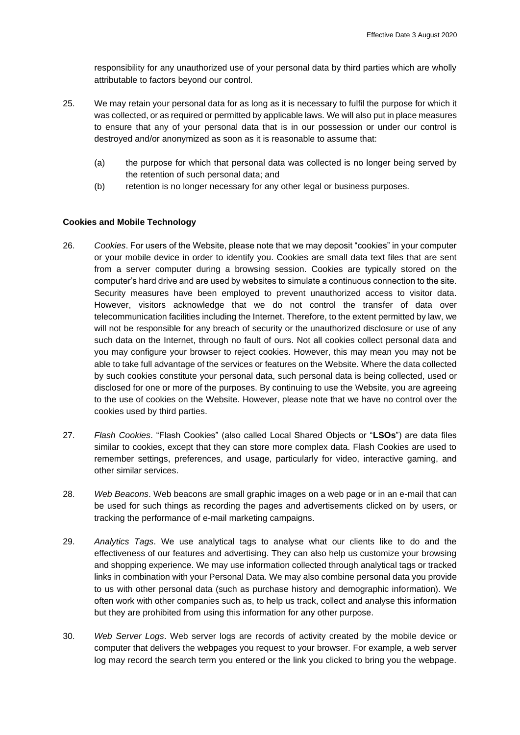responsibility for any unauthorized use of your personal data by third parties which are wholly attributable to factors beyond our control.

- 25. We may retain your personal data for as long as it is necessary to fulfil the purpose for which it was collected, or as required or permitted by applicable laws. We will also put in place measures to ensure that any of your personal data that is in our possession or under our control is destroyed and/or anonymized as soon as it is reasonable to assume that:
	- (a) the purpose for which that personal data was collected is no longer being served by the retention of such personal data; and
	- (b) retention is no longer necessary for any other legal or business purposes.

### **Cookies and Mobile Technology**

- 26. *Cookies*. For users of the Website, please note that we may deposit "cookies" in your computer or your mobile device in order to identify you. Cookies are small data text files that are sent from a server computer during a browsing session. Cookies are typically stored on the computer's hard drive and are used by websites to simulate a continuous connection to the site. Security measures have been employed to prevent unauthorized access to visitor data. However, visitors acknowledge that we do not control the transfer of data over telecommunication facilities including the Internet. Therefore, to the extent permitted by law, we will not be responsible for any breach of security or the unauthorized disclosure or use of any such data on the Internet, through no fault of ours. Not all cookies collect personal data and you may configure your browser to reject cookies. However, this may mean you may not be able to take full advantage of the services or features on the Website. Where the data collected by such cookies constitute your personal data, such personal data is being collected, used or disclosed for one or more of the purposes. By continuing to use the Website, you are agreeing to the use of cookies on the Website. However, please note that we have no control over the cookies used by third parties.
- 27. *Flash Cookies*. "Flash Cookies" (also called Local Shared Objects or "**LSOs**") are data files similar to cookies, except that they can store more complex data. Flash Cookies are used to remember settings, preferences, and usage, particularly for video, interactive gaming, and other similar services.
- 28. *Web Beacons*. Web beacons are small graphic images on a web page or in an e-mail that can be used for such things as recording the pages and advertisements clicked on by users, or tracking the performance of e-mail marketing campaigns.
- 29. *Analytics Tags*. We use analytical tags to analyse what our clients like to do and the effectiveness of our features and advertising. They can also help us customize your browsing and shopping experience. We may use information collected through analytical tags or tracked links in combination with your Personal Data. We may also combine personal data you provide to us with other personal data (such as purchase history and demographic information). We often work with other companies such as, to help us track, collect and analyse this information but they are prohibited from using this information for any other purpose.
- 30. *Web Server Logs*. Web server logs are records of activity created by the mobile device or computer that delivers the webpages you request to your browser. For example, a web server log may record the search term you entered or the link you clicked to bring you the webpage.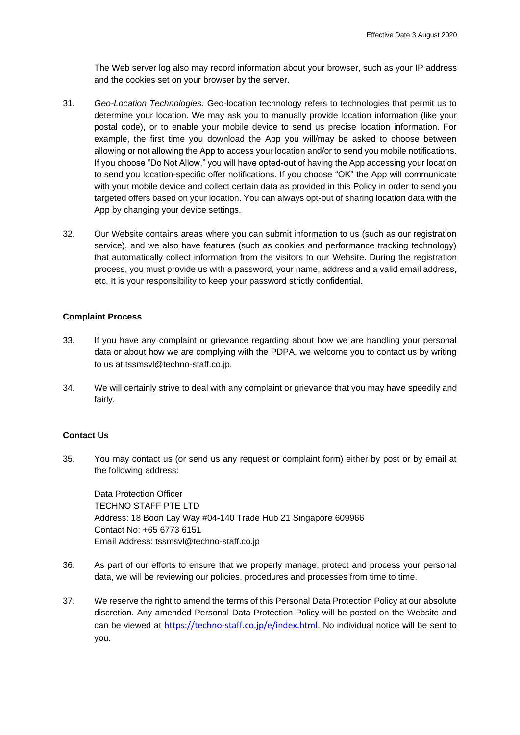The Web server log also may record information about your browser, such as your IP address and the cookies set on your browser by the server.

- 31. *Geo-Location Technologies*. Geo-location technology refers to technologies that permit us to determine your location. We may ask you to manually provide location information (like your postal code), or to enable your mobile device to send us precise location information. For example, the first time you download the App you will/may be asked to choose between allowing or not allowing the App to access your location and/or to send you mobile notifications. If you choose "Do Not Allow," you will have opted-out of having the App accessing your location to send you location-specific offer notifications. If you choose "OK" the App will communicate with your mobile device and collect certain data as provided in this Policy in order to send you targeted offers based on your location. You can always opt-out of sharing location data with the App by changing your device settings.
- 32. Our Website contains areas where you can submit information to us (such as our registration service), and we also have features (such as cookies and performance tracking technology) that automatically collect information from the visitors to our Website. During the registration process, you must provide us with a password, your name, address and a valid email address, etc. It is your responsibility to keep your password strictly confidential.

## **Complaint Process**

- 33. If you have any complaint or grievance regarding about how we are handling your personal data or about how we are complying with the PDPA, we welcome you to contact us by writing to us at tssmsvl@techno-staff.co.jp.
- 34. We will certainly strive to deal with any complaint or grievance that you may have speedily and fairly.

## **Contact Us**

35. You may contact us (or send us any request or complaint form) either by post or by email at the following address:

Data Protection Officer TECHNO STAFF PTE LTD Address: 18 Boon Lay Way #04-140 Trade Hub 21 Singapore 609966 Contact No: +65 6773 6151 Email Address: tssmsvl@techno-staff.co.jp

- 36. As part of our efforts to ensure that we properly manage, protect and process your personal data, we will be reviewing our policies, procedures and processes from time to time.
- 37. We reserve the right to amend the terms of this Personal Data Protection Policy at our absolute discretion. Any amended Personal Data Protection Policy will be posted on the Website and can be viewed at <https://techno-staff.co.jp/e/index.html>. No individual notice will be sent to you.